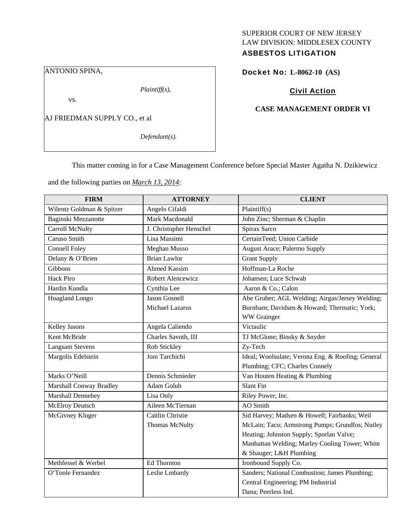# SUPERIOR COURT OF NEW JERSEY LAW DIVISION: MIDDLESEX COUNTY ASBESTOS LITIGATION

ANTONIO SPINA,

*Plaintiff(s),* 

vs.

AJ FRIEDMAN SUPPLY CO., et al

*Defendant(s).* 

Docket No: **L-8062-10 (AS)** 

# Civil Action

## **CASE MANAGEMENT ORDER VI**

This matter coming in for a Case Management Conference before Special Master Agatha N. Dzikiewicz

and the following parties on *March 13, 2014*:

| <b>FIRM</b>               | <b>ATTORNEY</b>         | <b>CLIENT</b>                                     |
|---------------------------|-------------------------|---------------------------------------------------|
| Wilentz Goldman & Spitzer | Angelo Cifaldi          | Plaintiff(s)                                      |
| Baginski Mezzanotte       | Mark Macdonald          | John Zinc; Sherman & Chaplin                      |
| Carroll McNulty           | J. Christopher Henschel | Spirax Sarco                                      |
| Caruso Smith              | Lisa Massimi            | CertainTeed; Union Carbide                        |
| <b>Connell Foley</b>      | <b>Meghan Musso</b>     | <b>August Arace</b> ; Palermo Supply              |
| Delany & O'Brien          | <b>Brian Lawlor</b>     | <b>Grant Supply</b>                               |
| Gibbons                   | <b>Ahmed Kassim</b>     | Hoffman-La Roche                                  |
| <b>Hack Piro</b>          | Robert Alencewicz       | Johansen; Luce Schwab                             |
| Hardin Kundla             | Cynthia Lee             | Aaron & Co.; Calon                                |
| Hoagland Longo            | <b>Jason Gosnell</b>    | Abe Gruber; AGL Welding; Airgas/Jersey Welding;   |
|                           | Michael Lazarus         | Burnham; Davidsen & Howard; Thermatic; York;      |
|                           |                         | WW Grainger                                       |
| <b>Kelley Jasons</b>      | Angela Caliendo         | Victaulic                                         |
| Kent McBride              | Charles Savoth, III     | TJ McGlone; Binsky & Snyder                       |
| <b>Langsam Stevens</b>    | Rob Stickley            | Zy-Tech                                           |
| Margolis Edelstein        | Joni Tarchichi          | Ideal; Woolsulate; Verona Eng. & Roofing; General |
|                           |                         | Plumbing; CFC; Charles Connely                    |
| Marks O'Neill             | Dennis Schmieder        | Van Houten Heating & Plumbing                     |
| Marshall Conway Bradley   | Adam Golub              | Slant Fin                                         |
| Marshall Dennehey         | Lisa Only               | Riley Power, Inc.                                 |
| <b>McElroy Deutsch</b>    | Aileen McTiernan        | AO Smith                                          |
| McGivney Kluger           | Caitlin Christie        | Sid Harvey; Madsen & Howell; Fairbanks; Weil      |
|                           | Thomas McNulty          | McLain; Taco; Armstrong Pumps; Grundfos; Nutley   |
|                           |                         | Heating; Johnston Supply; Sporlan Valve;          |
|                           |                         | Manhattan Welding; Marley Cooling Tower; White    |
|                           |                         | & Shauger; L&H Plumbing                           |
| Methfessel & Werbel       | <b>Ed Thornton</b>      | Ironbound Supply Co.                              |
| O'Toole Fernandez         | Leslie Lmbardy          | Sanders; National Combustion; James Plumbing;     |
|                           |                         | Central Engineering; PM Industrial                |
|                           |                         | Dana; Peerless Ind.                               |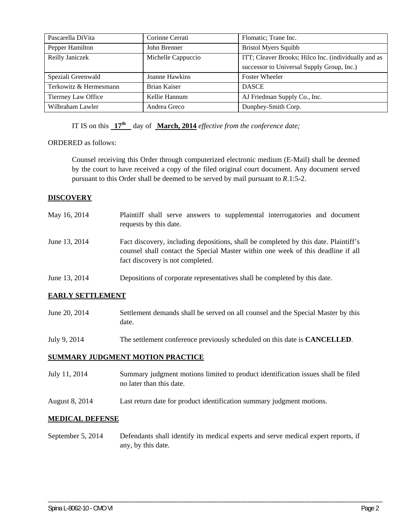| Pascarella DiVita      | Corinne Cerrati     | Flomatic; Trane Inc.                                 |
|------------------------|---------------------|------------------------------------------------------|
| Pepper Hamilton        | John Brenner        | <b>Bristol Myers Squibb</b>                          |
| Reilly Janiczek        | Michelle Cappuccio  | ITT; Cleaver Brooks; Hilco Inc. (individually and as |
|                        |                     | successor to Universal Supply Group, Inc.)           |
| Speziali Greenwald     | Joanne Hawkins      | <b>Foster Wheeler</b>                                |
| Terkowitz & Hermesmann | <b>Brian Kaiser</b> | <b>DASCE</b>                                         |
| Tierrney Law Office    | Kellie Hannum       | AJ Friedman Supply Co., Inc.                         |
| Wilbraham Lawler       | Andrea Greco        | Dunphey-Smith Corp.                                  |

IT IS on this  $17^{\text{th}}$  day of **March, 2014** *effective from the conference date;* 

## ORDERED as follows:

Counsel receiving this Order through computerized electronic medium (E-Mail) shall be deemed by the court to have received a copy of the filed original court document. Any document served pursuant to this Order shall be deemed to be served by mail pursuant to *R*.1:5-2.

## **DISCOVERY**

| May 16, 2014  | Plaintiff shall serve answers to supplemental interrogatories and document<br>requests by this date.                                                                                                        |  |
|---------------|-------------------------------------------------------------------------------------------------------------------------------------------------------------------------------------------------------------|--|
| June 13, 2014 | Fact discovery, including depositions, shall be completed by this date. Plaintiff's<br>counsel shall contact the Special Master within one week of this deadline if all<br>fact discovery is not completed. |  |
| June 13, 2014 | Depositions of corporate representatives shall be completed by this date.                                                                                                                                   |  |

## **EARLY SETTLEMENT**

| June 20, 2014 | Settlement demands shall be served on all counsel and the Special Master by this |
|---------------|----------------------------------------------------------------------------------|
|               | date.                                                                            |

July 9, 2014 The settlement conference previously scheduled on this date is **CANCELLED**.

## **SUMMARY JUDGMENT MOTION PRACTICE**

- July 11, 2014 Summary judgment motions limited to product identification issues shall be filed no later than this date.
- August 8, 2014 Last return date for product identification summary judgment motions.

#### **MEDICAL DEFENSE**

September 5, 2014 Defendants shall identify its medical experts and serve medical expert reports, if any, by this date.

\_\_\_\_\_\_\_\_\_\_\_\_\_\_\_\_\_\_\_\_\_\_\_\_\_\_\_\_\_\_\_\_\_\_\_\_\_\_\_\_\_\_\_\_\_\_\_\_\_\_\_\_\_\_\_\_\_\_\_\_\_\_\_\_\_\_\_\_\_\_\_\_\_\_\_\_\_\_\_\_\_\_\_\_\_\_\_\_\_\_\_\_\_\_\_\_\_\_\_\_\_\_\_\_\_\_\_\_\_\_